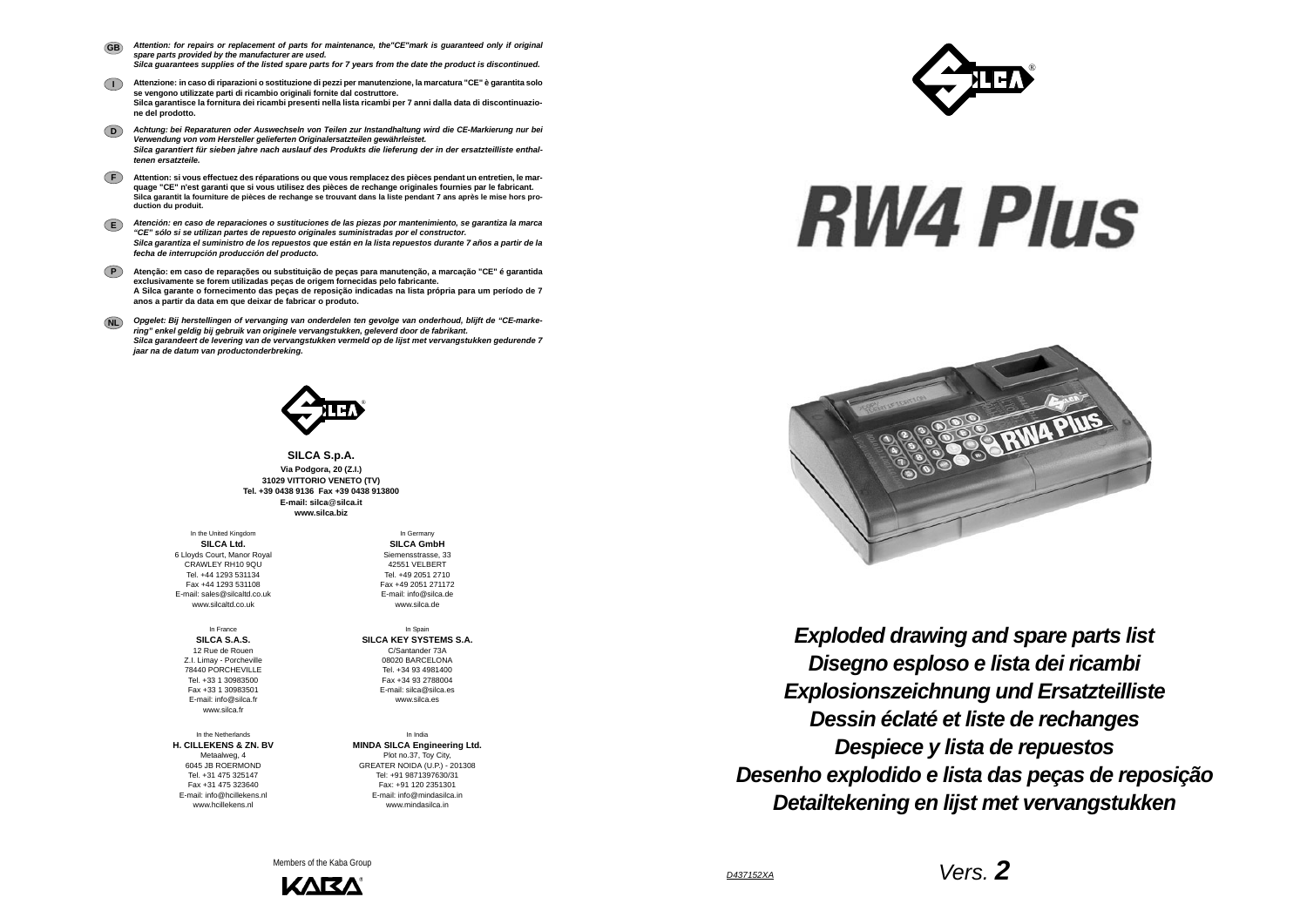*D437152XA*



*Disegno esploso e lista dei ricambi Exploded drawing and spare parts list Explosionszeichnung und Ersatzteilliste Dessin éclaté et liste de rechanges Despiece y lista de repuestos Desenho explodido e lista das peças de reposição Detailtekening en lijst met vervangstukken*

**SILCA S.p.A. Via Podgora, 20 (Z.I.) 31029 VITTORIO VENETO (TV) Tel. +39 0438 9136 Fax +39 0438 913800E-mail: silca**@**silca.it www.silca.biz**

- *Attention: for repairs or replacement of parts for maintenance, the"CE"mark is guaranteed only if original spare parts provided by the manufacturer are used. Silca guarantees supplies of the listed spare parts for 7 years from the date the product is discontinued.* **GB**
- **I Attenzione: in caso di riparazioni o sostituzione di pezzi per manutenzione, la marcatura "CE" è garantita solo se vengono utilizzate parti di ricambio originali fornite dal costruttore. Silca garantisce la fornitura dei ricambi presenti nella lista ricambi per 7 anni dalla data di discontinuazione del prodotto.**
- **D***Achtung: bei Reparaturen oder Auswechseln von Teilen zur Instandhaltung wird die CE-Markierung nur bei Verwendung von vom Hersteller gelieferten Originalersatzteilen gewährleistet. Silca garantiert für sieben jahre nach auslauf des Produkts die lieferung der in der ersatzteilliste enthaltenen ersatzteile.*
- **F Attention: si vous effectuez des réparations ou que vous remplacez des pièces pendant un entretien, le marquage "CE" n'est garanti que si vous utilisez des pièces de rechange originales fournies par le fabricant. Silca garantit la fourniture de pièces de rechange se trouvant dans la liste pendant 7 ans après le mise hors production du produit.**
- **E***Atención: en caso de reparaciones o sustituciones de las piezas por mantenimiento, se garantiza la marca "CE" sólo si se utilizan partes de repuesto originales suministradas por el constructor. Silca garantiza el suministro de los repuestos que están en la lista repuestos durante 7 años a partir de la fecha de interrupción producción del producto.*
- **PAtenção: em caso de reparações ou substituição de peças para manutenção, a marcação "CE" é garantida exclusivamente se forem utilizadas peças de origem fornecidas pelo fabricante. A Silca garante o fornecimento das peças de reposição indicadas na lista própria para um período de 7 anos a partir da data em que deixar de fabricar o produto.**
- **NL** *Opgelet: Bij herstellingen of vervanging van onderdelen ten gevolge van onderhoud, blijft de "CE-markering" enkel geldig bij gebruik van originele vervangstukken, geleverd door de fabrikant. Silca garandeert de levering van de vervangstukken vermeld op de lijst met vervangstukken gedurende 7 jaar na de datum van productonderbreking.*



In the United Kingdom **SILCA Ltd.** 6 Lloyds Court, Manor Royal CRAWLEY RH10 9QUTel. +44 1293 531134 Fax +44 1293 531108 E-mail: sales@silcaltd.co.uk www.silcaltd.co.uk

In France**SILCA S.A.S.** 12 Rue de Rouen Z.I. Limay - Porcheville 78440 PORCHEVILLE Tel. +33 1 30983500 Fax +33 1 30983501 E-mail: info@silca.fr www.silca.fr

In the Netherlands**H. CILLEKENS & ZN. BV** Metaalweg, 4 6045 JB ROERMOND Tel. +31 475 325147 Fax +31 475 323640E-mail: info@hcillekens.nl

www.hcillekens.nl

In Germany **SILCA GmbH** Siemensstrasse, 33 42551 VELBERTTel. +49 2051 2710 Fax +49 2051 271172 E-mail: info@silca.dewww.silca.de

In Spain **SILCA KEY SYSTEMS S.A.** C/Santander 73A 08020 BARCELONA Tel. +34 93 4981400 Fax +34 93 2788004 E-mail: silca@silca.es www.silca.es

In India**MINDA SILCA Engineering Ltd.** Plot no.37, Toy City, GREATER NOIDA (U.P.) - 201308 Tel: +91 9871397630/31 Fax: +91 120 2351301 E-mail: info@mindasilca.inwww.mindasilca.in

Members of the Kaba Group





## **RW4 Plus**

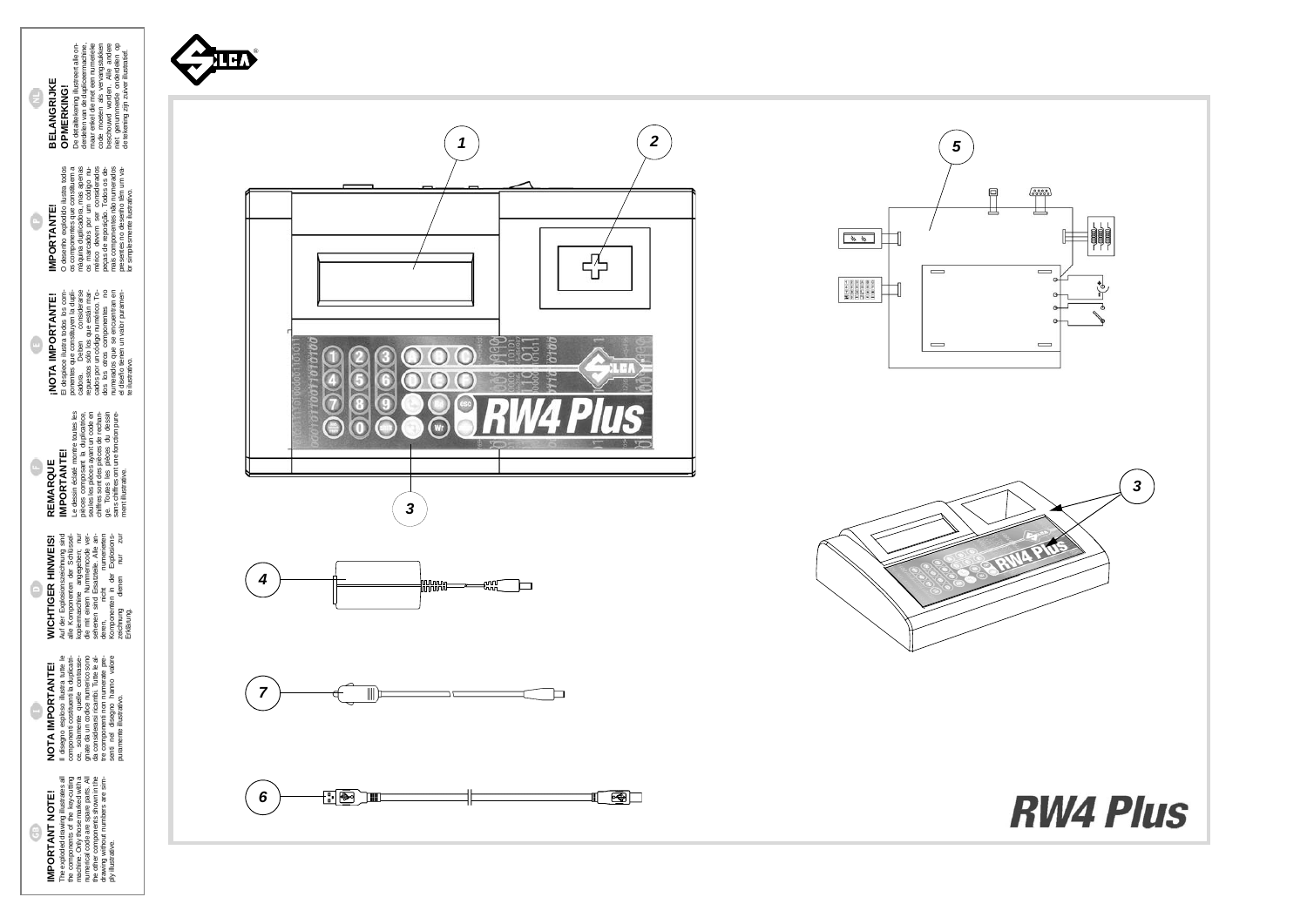**WICHTIGER HINWEIS!** Auf der Explosionszeichnung sind alle Komponenten der Schlüsselkopiermaschine angegeben; nur die mit einem Nummerncode versehenen sind Ersatzteile. Alle anderen, nicht numerierten Komponenten in der Explosionszeichnung dienen nur zur WICHTIGER HINWEIS!<br>Auf der Explosionszeichnung sind<br>ale Komponenten der Schlüssel-<br>ale Komponenten der Schlüssel-<br>de mit einem Nummemcode ver-<br>sehenen sind Ersatzelie, Alle an-<br>Kemponenten incht<br>Kemponenten er Explosionen<br>

G

G

## **NOTA IMPORTANTE!**<br>
Il disegno esploso illustra tute le<br>
componenti costituella duplicati-<br>
ce ponenti costituella duplicati-<br>
gnate da un codice numerico sono<br>
da considerarsi ricambi. Tutte le al-<br>
te considerarsi ricamb Il disegno esploso illustra tutte le gnate da un codice numerico sono senti nel disegno hanno valore componenti costituenti la duplicatrice, solamente quelle contrasseda considerarsi ricambi. Tutte le altre componenti non numerate pre-**NOTA IMPORTANTE!**

**REMARQUE**<br> **IMPORTANTE!**<br>
de dessin édaté monte toutes les<br>
de sain édaté monte toutes les<br>
seules les pièces ayant un code en<br>
chiffres sont des pièces de rechan-<br>
ge. Toutes les pièces du dessin<br>
ment illustrative. Le dessin éclaté montre toutes les pièces composant la duplicatrice, seules les pièces ayant un code en chiffres sont des pièces de rechange. Toutes les pièces du dessin sans chiffres ont une fonction pure-**IMPORTANTE!** ¢ **REMARQUE** ment illustrative.

**INOTA IMPORTANTE!**<br>El despiece ilustra todos los com-<br>caoras que constituyen la dupli-<br>caoras que constituyen la dupli-<br>repuestos sólo los que están mar-<br>cados por un código numérico. To-<br>dos los componentes no<br>el diseño El despiece ilustra todos los componentes que constituyen la duplicadora. Deben considerarse repuestos sólo los que están marcados por un código numérico. Todos los otros componentes no numerados que se encuentran en **¡NOTA IMPORTANTE!**  $\bigcirc$ 

puramente illustrativo.

**IMPORTANTE!**<br>Co despho explodo lustra todos<br>máquina duplicadora, mas apenas<br>co marcados por um código nu-<br>náquina duplicadora, mas apenas<br>co marcados por um código nu-<br>mérico devem ser considerados<br>más cone prenentes não O desenho explodido ilustra todos os componentes que constituem a máquina duplicadora, mas apenas os marcados por um código numérico devem ser considerados peças de reposição. Todos os demais componentes não numerados presentes no desenho têm um va-**IMPORTANTE!**

**IMPORTANT NOTE!**<br>The exploded drawing illustrates all<br>the components of the key-cutting<br>machine. Only those marked with a<br>machine. Only those marked with a<br>the mether code are spare parts. All<br>drawing without numbers are The exploded drawing illustrates all **IMPORTANT NOTE!** 0

the components of the key-cutting machine. Only those marked with a numerical code are spare parts. All the other components shown in the drawing without numbers are sim-

ply illustrative.

**BELANGRIJKE**<br>OPMERKING!<br>DeMERKING!<br>derden van de dupliceermachine,<br>maar enkel die met een numerieke<br>maar enkel die met een numerieke<br>book moeten als ve Alangsukken<br>niet genummerde onderdelen op<br>de tekening zijn zuiver ill De detailtekening illustreert alle onderdelen van de dupliceermachine, maar enkel die met een numerieke code moeten als vervangstukken beschouwd worden. Alle andere niet genummerde onderdelen op de tekening zijn zuiver illustratief. **OPMERKING!**

el diseño tienen un valor puramen-

te ilustrativo.

lor simplesmente ilustrativo.

**BELANGRIJKE**

 $\bigcirc$ 

 $\odot$ 



▓▓▓▓<del>▓</del>

*4*